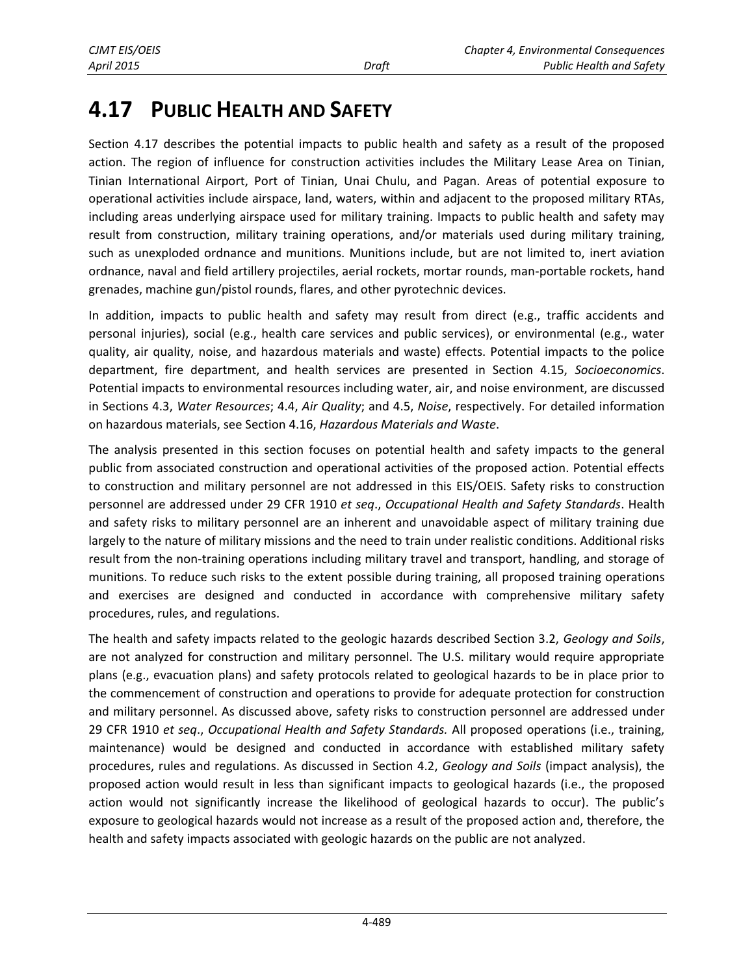# **4.17 PUBLIC HEALTH AND SAFETY**

Section 4.17 describes the potential impacts to public health and safety as a result of the proposed action. The region of influence for construction activities includes the Military Lease Area on Tinian, Tinian International Airport, Port of Tinian, Unai Chulu, and Pagan. Areas of potential exposure to operational activities include airspace, land, waters, within and adjacent to the proposed military RTAs, including areas underlying airspace used for military training. Impacts to public health and safety may result from construction, military training operations, and/or materials used during military training, such as unexploded ordnance and munitions. Munitions include, but are not limited to, inert aviation ordnance, naval and field artillery projectiles, aerial rockets, mortar rounds, man-portable rockets, hand grenades, machine gun/pistol rounds, flares, and other pyrotechnic devices.

In addition, impacts to public health and safety may result from direct (e.g., traffic accidents and personal injuries), social (e.g., health care services and public services), or environmental (e.g., water quality, air quality, noise, and hazardous materials and waste) effects. Potential impacts to the police department, fire department, and health services are presented in Section 4.15, *Socioeconomics*. Potential impacts to environmental resources including water, air, and noise environment, are discussed in Sections 4.3, *Water Resources*; 4.4, *Air Quality*; and 4.5, *Noise*, respectively. For detailed information on hazardous materials, see Section 4.16, *Hazardous Materials and Waste*.

The analysis presented in this section focuses on potential health and safety impacts to the general public from associated construction and operational activities of the proposed action. Potential effects to construction and military personnel are not addressed in this EIS/OEIS. Safety risks to construction personnel are addressed under 29 CFR 1910 *et seq*., *Occupational Health and Safety Standards*. Health and safety risks to military personnel are an inherent and unavoidable aspect of military training due largely to the nature of military missions and the need to train under realistic conditions. Additional risks result from the non-training operations including military travel and transport, handling, and storage of munitions. To reduce such risks to the extent possible during training, all proposed training operations and exercises are designed and conducted in accordance with comprehensive military safety procedures, rules, and regulations.

The health and safety impacts related to the geologic hazards described Section 3.2, *Geology and Soils*, are not analyzed for construction and military personnel. The U.S. military would require appropriate plans (e.g., evacuation plans) and safety protocols related to geological hazards to be in place prior to the commencement of construction and operations to provide for adequate protection for construction and military personnel. As discussed above, safety risks to construction personnel are addressed under 29 CFR 1910 *et seq*., *Occupational Health and Safety Standards.* All proposed operations (i.e., training, maintenance) would be designed and conducted in accordance with established military safety procedures, rules and regulations. As discussed in Section 4.2, *Geology and Soils* (impact analysis), the proposed action would result in less than significant impacts to geological hazards (i.e., the proposed action would not significantly increase the likelihood of geological hazards to occur). The public's exposure to geological hazards would not increase as a result of the proposed action and, therefore, the health and safety impacts associated with geologic hazards on the public are not analyzed.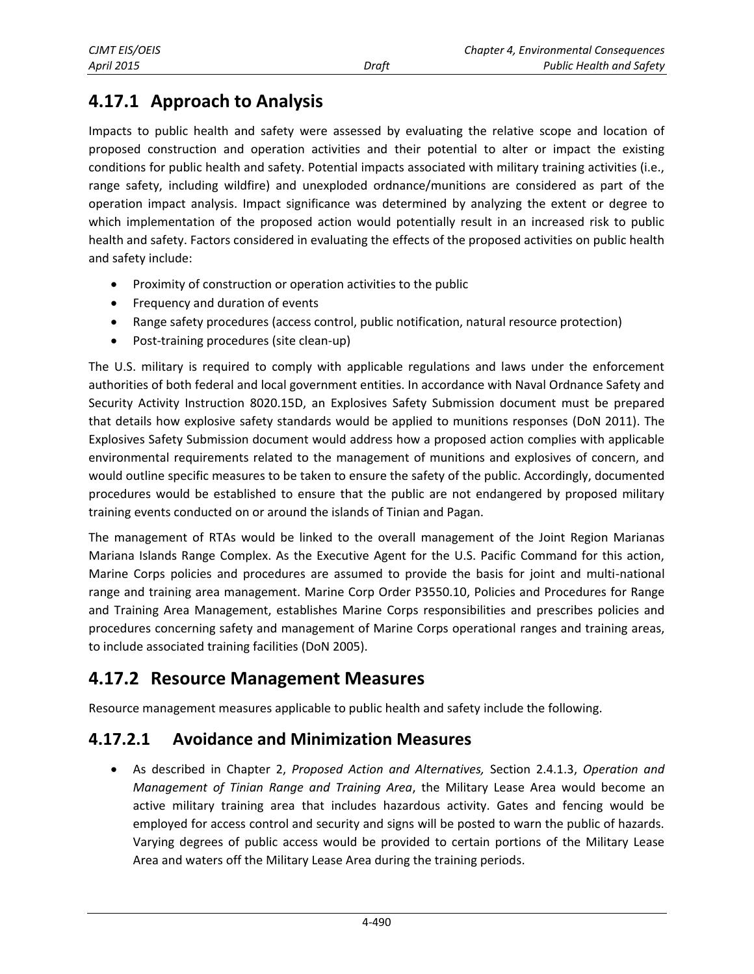# **4.17.1 Approach to Analysis**

Impacts to public health and safety were assessed by evaluating the relative scope and location of proposed construction and operation activities and their potential to alter or impact the existing conditions for public health and safety. Potential impacts associated with military training activities (i.e., range safety, including wildfire) and unexploded ordnance/munitions are considered as part of the operation impact analysis. Impact significance was determined by analyzing the extent or degree to which implementation of the proposed action would potentially result in an increased risk to public health and safety. Factors considered in evaluating the effects of the proposed activities on public health and safety include:

- Proximity of construction or operation activities to the public
- Frequency and duration of events
- Range safety procedures (access control, public notification, natural resource protection)
- Post-training procedures (site clean-up)

The U.S. military is required to comply with applicable regulations and laws under the enforcement authorities of both federal and local government entities. In accordance with Naval Ordnance Safety and Security Activity Instruction 8020.15D, an Explosives Safety Submission document must be prepared that details how explosive safety standards would be applied to munitions responses (DoN 2011). The Explosives Safety Submission document would address how a proposed action complies with applicable environmental requirements related to the management of munitions and explosives of concern, and would outline specific measures to be taken to ensure the safety of the public. Accordingly, documented procedures would be established to ensure that the public are not endangered by proposed military training events conducted on or around the islands of Tinian and Pagan.

The management of RTAs would be linked to the overall management of the Joint Region Marianas Mariana Islands Range Complex. As the Executive Agent for the U.S. Pacific Command for this action, Marine Corps policies and procedures are assumed to provide the basis for joint and multi-national range and training area management. Marine Corp Order P3550.10, Policies and Procedures for Range and Training Area Management, establishes Marine Corps responsibilities and prescribes policies and procedures concerning safety and management of Marine Corps operational ranges and training areas, to include associated training facilities (DoN 2005).

# <span id="page-1-0"></span>**4.17.2 Resource Management Measures**

Resource management measures applicable to public health and safety include the following.

# **4.17.2.1 Avoidance and Minimization Measures**

 As described in Chapter 2, *Proposed Action and Alternatives,* Section 2.4.1.3, *Operation and Management of Tinian Range and Training Area*, the Military Lease Area would become an active military training area that includes hazardous activity. Gates and fencing would be employed for access control and security and signs will be posted to warn the public of hazards. Varying degrees of public access would be provided to certain portions of the Military Lease Area and waters off the Military Lease Area during the training periods.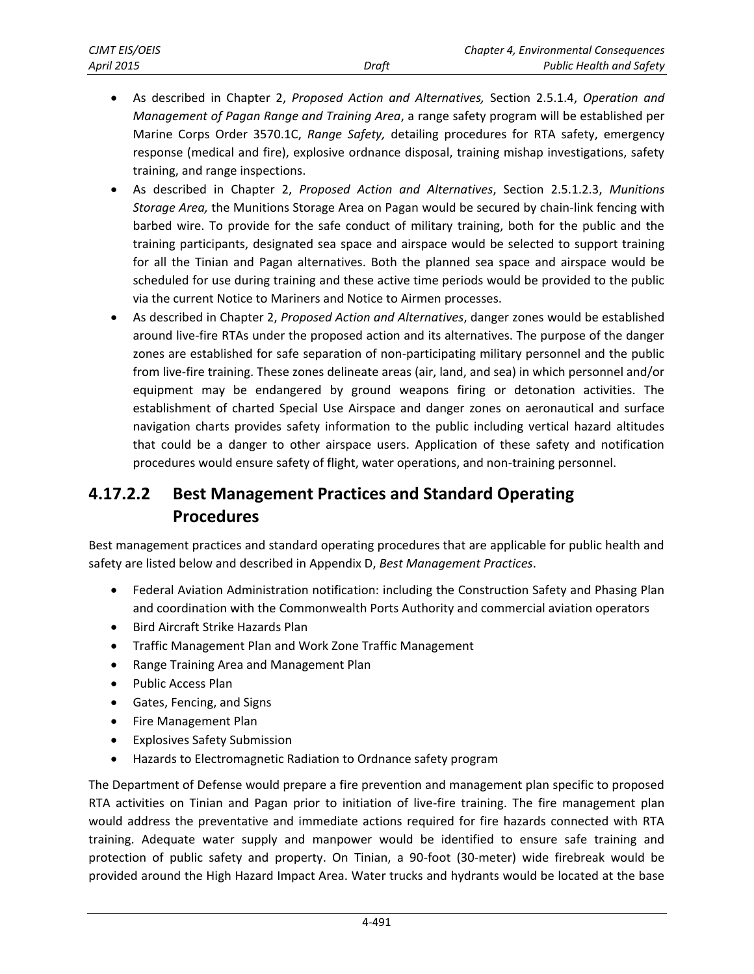- As described in Chapter 2, *Proposed Action and Alternatives,* Section 2.5.1.4, *Operation and Management of Pagan Range and Training Area*, a range safety program will be established per Marine Corps Order 3570.1C, *Range Safety,* detailing procedures for RTA safety, emergency response (medical and fire), explosive ordnance disposal, training mishap investigations, safety training, and range inspections.
- As described in Chapter 2, *Proposed Action and Alternatives*, Section 2.5.1.2.3, *Munitions Storage Area,* the Munitions Storage Area on Pagan would be secured by chain-link fencing with barbed wire. To provide for the safe conduct of military training, both for the public and the training participants, designated sea space and airspace would be selected to support training for all the Tinian and Pagan alternatives. Both the planned sea space and airspace would be scheduled for use during training and these active time periods would be provided to the public via the current Notice to Mariners and Notice to Airmen processes.
- As described in Chapter 2, *Proposed Action and Alternatives*, danger zones would be established around live-fire RTAs under the proposed action and its alternatives. The purpose of the danger zones are established for safe separation of non-participating military personnel and the public from live-fire training. These zones delineate areas (air, land, and sea) in which personnel and/or equipment may be endangered by ground weapons firing or detonation activities. The establishment of charted Special Use Airspace and danger zones on aeronautical and surface navigation charts provides safety information to the public including vertical hazard altitudes that could be a danger to other airspace users. Application of these safety and notification procedures would ensure safety of flight, water operations, and non-training personnel.

# **4.17.2.2 Best Management Practices and Standard Operating Procedures**

Best management practices and standard operating procedures that are applicable for public health and safety are listed below and described in Appendix D, *Best Management Practices*.

- Federal Aviation Administration notification: including the Construction Safety and Phasing Plan and coordination with the Commonwealth Ports Authority and commercial aviation operators
- Bird Aircraft Strike Hazards Plan
- Traffic Management Plan and Work Zone Traffic Management
- Range Training Area and Management Plan
- Public Access Plan
- Gates, Fencing, and Signs
- Fire Management Plan
- Explosives Safety Submission
- Hazards to Electromagnetic Radiation to Ordnance safety program

The Department of Defense would prepare a fire prevention and management plan specific to proposed RTA activities on Tinian and Pagan prior to initiation of live-fire training. The fire management plan would address the preventative and immediate actions required for fire hazards connected with RTA training. Adequate water supply and manpower would be identified to ensure safe training and protection of public safety and property. On Tinian, a 90-foot (30-meter) wide firebreak would be provided around the High Hazard Impact Area. Water trucks and hydrants would be located at the base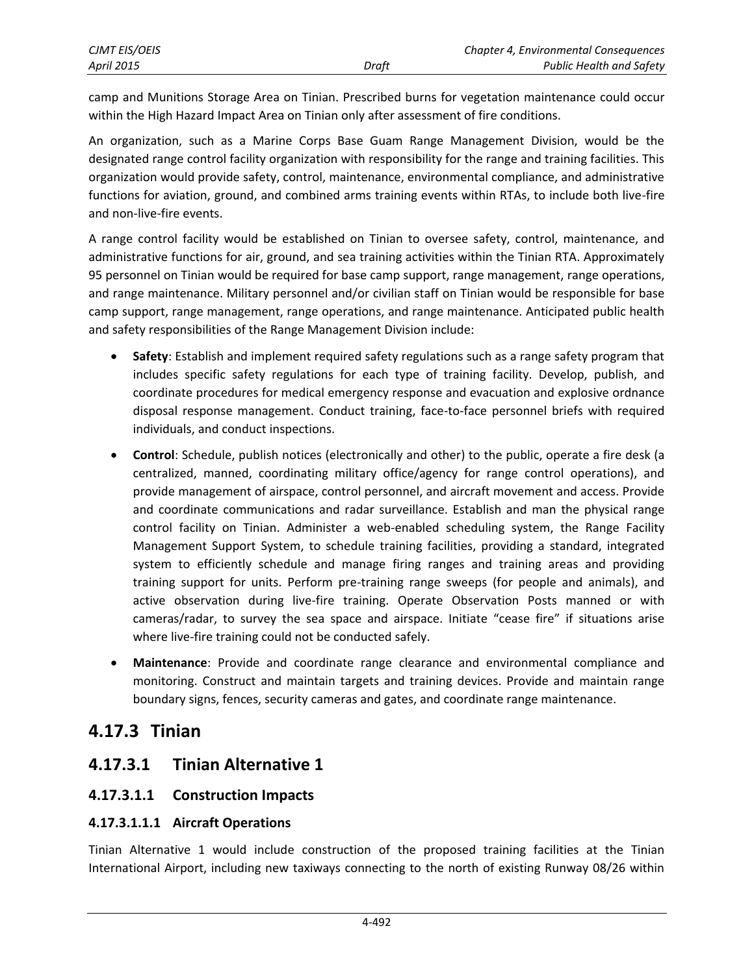<span id="page-3-0"></span>camp and Munitions Storage Area on Tinian. Prescribed burns for vegetation maintenance could occur within the High Hazard Impact Area on Tinian only after assessment of fire conditions.

An organization, such as a Marine Corps Base Guam Range Management Division, would be the designated range control facility organization with responsibility for the range and training facilities. This organization would provide safety, control, maintenance, environmental compliance, and administrative functions for aviation, ground, and combined arms training events within RTAs, to include both live-fire and non-live-fire events.

A range control facility would be established on Tinian to oversee safety, control, maintenance, and administrative functions for air, ground, and sea training activities within the Tinian RTA. Approximately 95 personnel on Tinian would be required for base camp support, range management, range operations, and range maintenance. Military personnel and/or civilian staff on Tinian would be responsible for base camp support, range management, range operations, and range maintenance. Anticipated public health and safety responsibilities of the Range Management Division include:

- **Safety**: Establish and implement required safety regulations such as a range safety program that includes specific safety regulations for each type of training facility. Develop, publish, and coordinate procedures for medical emergency response and evacuation and explosive ordnance disposal response management. Conduct training, face-to-face personnel briefs with required individuals, and conduct inspections.
- **Control**: Schedule, publish notices (electronically and other) to the public, operate a fire desk (a centralized, manned, coordinating military office/agency for range control operations), and provide management of airspace, control personnel, and aircraft movement and access. Provide and coordinate communications and radar surveillance. Establish and man the physical range control facility on Tinian. Administer a web-enabled scheduling system, the Range Facility Management Support System, to schedule training facilities, providing a standard, integrated system to efficiently schedule and manage firing ranges and training areas and providing training support for units. Perform pre-training range sweeps (for people and animals), and active observation during live-fire training. Operate Observation Posts manned or with cameras/radar, to survey the sea space and airspace. Initiate "cease fire" if situations arise where live-fire training could not be conducted safely.
- <span id="page-3-1"></span> **Maintenance**: Provide and coordinate range clearance and environmental compliance and monitoring. Construct and maintain targets and training devices. Provide and maintain range boundary signs, fences, security cameras and gates, and coordinate range maintenance.

# **4.17.3 Tinian**

# **4.17.3.1 Tinian Alternative 1**

### **4.17.3.1.1 Construction Impacts**

### **4.17.3.1.1.1 Aircraft Operations**

Tinian Alternative 1 would include construction of the proposed training facilities at the Tinian International Airport, including new taxiways connecting to the north of existing Runway 08/26 within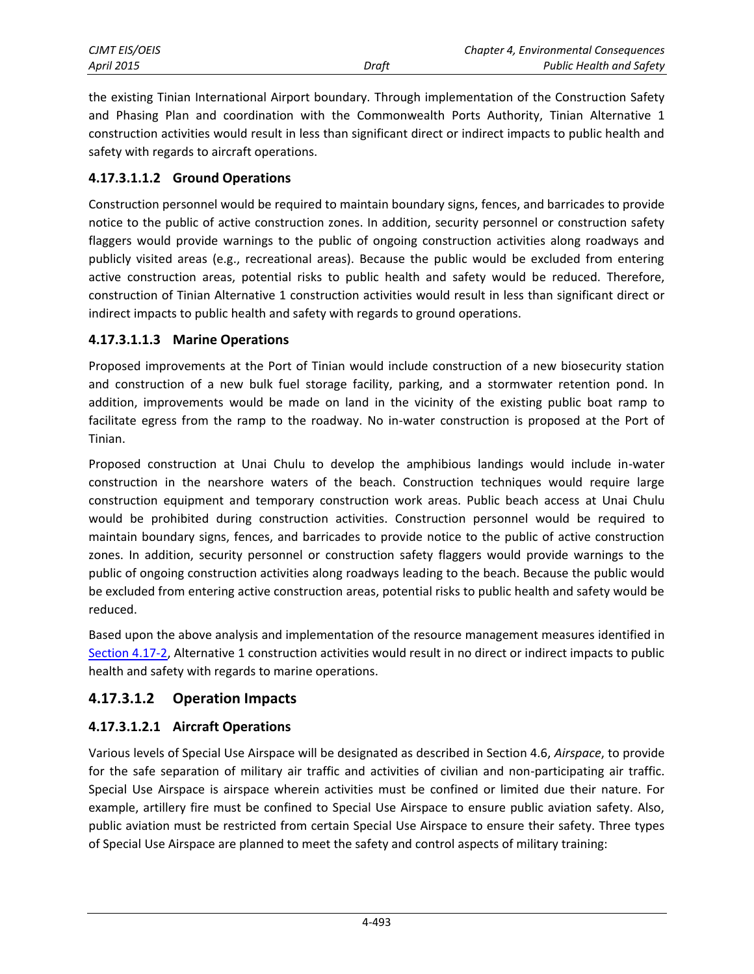| CJMT EIS/OEIS     |       | Chapter 4, Environmental Consequences |
|-------------------|-------|---------------------------------------|
| <b>April 2015</b> | Draft | <b>Public Health and Safety</b>       |

the existing Tinian International Airport boundary. Through implementation of the Construction Safety and Phasing Plan and coordination with the Commonwealth Ports Authority, Tinian Alternative 1 construction activities would result in less than significant direct or indirect impacts to public health and safety with regards to aircraft operations.

#### **4.17.3.1.1.2 Ground Operations**

Construction personnel would be required to maintain boundary signs, fences, and barricades to provide notice to the public of active construction zones. In addition, security personnel or construction safety flaggers would provide warnings to the public of ongoing construction activities along roadways and publicly visited areas (e.g., recreational areas). Because the public would be excluded from entering active construction areas, potential risks to public health and safety would be reduced. Therefore, construction of Tinian Alternative 1 construction activities would result in less than significant direct or indirect impacts to public health and safety with regards to ground operations.

#### **4.17.3.1.1.3 Marine Operations**

Proposed improvements at the Port of Tinian would include construction of a new biosecurity station and construction of a new bulk fuel storage facility, parking, and a stormwater retention pond. In addition, improvements would be made on land in the vicinity of the existing public boat ramp to facilitate egress from the ramp to the roadway. No in-water construction is proposed at the Port of Tinian.

Proposed construction at Unai Chulu to develop the amphibious landings would include in-water construction in the nearshore waters of the beach. Construction techniques would require large construction equipment and temporary construction work areas. Public beach access at Unai Chulu would be prohibited during construction activities. Construction personnel would be required to maintain boundary signs, fences, and barricades to provide notice to the public of active construction zones. In addition, security personnel or construction safety flaggers would provide warnings to the public of ongoing construction activities along roadways leading to the beach. Because the public would be excluded from entering active construction areas, potential risks to public health and safety would be reduced.

Based upon the above analysis and implementation of the resource management measures identified in [Section 4.17-2,](#page-1-0) Alternative 1 construction activities would result in no direct or indirect impacts to public health and safety with regards to marine operations.

#### **4.17.3.1.2 Operation Impacts**

#### **4.17.3.1.2.1 Aircraft Operations**

Various levels of Special Use Airspace will be designated as described in Section 4.6, *Airspace*, to provide for the safe separation of military air traffic and activities of civilian and non-participating air traffic. Special Use Airspace is airspace wherein activities must be confined or limited due their nature. For example, artillery fire must be confined to Special Use Airspace to ensure public aviation safety. Also, public aviation must be restricted from certain Special Use Airspace to ensure their safety. Three types of Special Use Airspace are planned to meet the safety and control aspects of military training: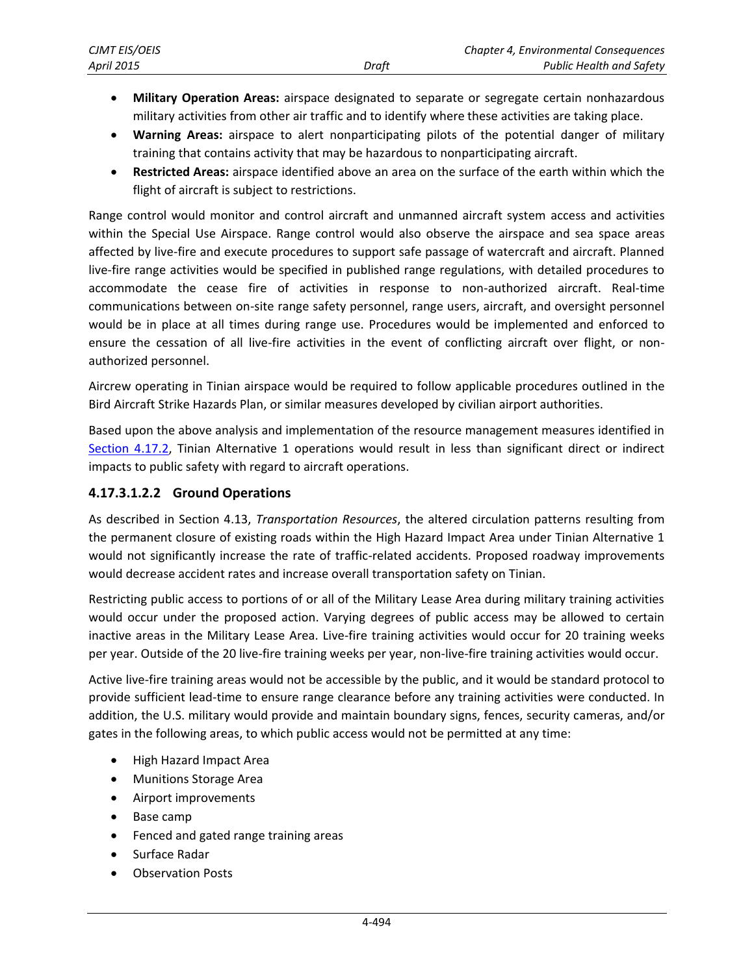- **Military Operation Areas:** airspace designated to separate or segregate certain nonhazardous military activities from other air traffic and to identify where these activities are taking place.
- **Warning Areas:** airspace to alert nonparticipating pilots of the potential danger of military training that contains activity that may be hazardous to nonparticipating aircraft.
- **Restricted Areas:** airspace identified above an area on the surface of the earth within which the flight of aircraft is subject to restrictions.

Range control would monitor and control aircraft and unmanned aircraft system access and activities within the Special Use Airspace. Range control would also observe the airspace and sea space areas affected by live-fire and execute procedures to support safe passage of watercraft and aircraft. Planned live-fire range activities would be specified in published range regulations, with detailed procedures to accommodate the cease fire of activities in response to non-authorized aircraft. Real-time communications between on-site range safety personnel, range users, aircraft, and oversight personnel would be in place at all times during range use. Procedures would be implemented and enforced to ensure the cessation of all live-fire activities in the event of conflicting aircraft over flight, or nonauthorized personnel.

Aircrew operating in Tinian airspace would be required to follow applicable procedures outlined in the Bird Aircraft Strike Hazards Plan, or similar measures developed by civilian airport authorities.

Based upon the above analysis and implementation of the resource management measures identified in [Section 4.17.2,](#page-1-0) Tinian Alternative 1 operations would result in less than significant direct or indirect impacts to public safety with regard to aircraft operations.

#### **4.17.3.1.2.2 Ground Operations**

As described in Section 4.13, *Transportation Resources*, the altered circulation patterns resulting from the permanent closure of existing roads within the High Hazard Impact Area under Tinian Alternative 1 would not significantly increase the rate of traffic-related accidents. Proposed roadway improvements would decrease accident rates and increase overall transportation safety on Tinian.

Restricting public access to portions of or all of the Military Lease Area during military training activities would occur under the proposed action. Varying degrees of public access may be allowed to certain inactive areas in the Military Lease Area. Live-fire training activities would occur for 20 training weeks per year. Outside of the 20 live-fire training weeks per year, non-live-fire training activities would occur.

Active live-fire training areas would not be accessible by the public, and it would be standard protocol to provide sufficient lead-time to ensure range clearance before any training activities were conducted. In addition, the U.S. military would provide and maintain boundary signs, fences, security cameras, and/or gates in the following areas, to which public access would not be permitted at any time:

- High Hazard Impact Area
- Munitions Storage Area
- Airport improvements
- Base camp
- Fenced and gated range training areas
- Surface Radar
- Observation Posts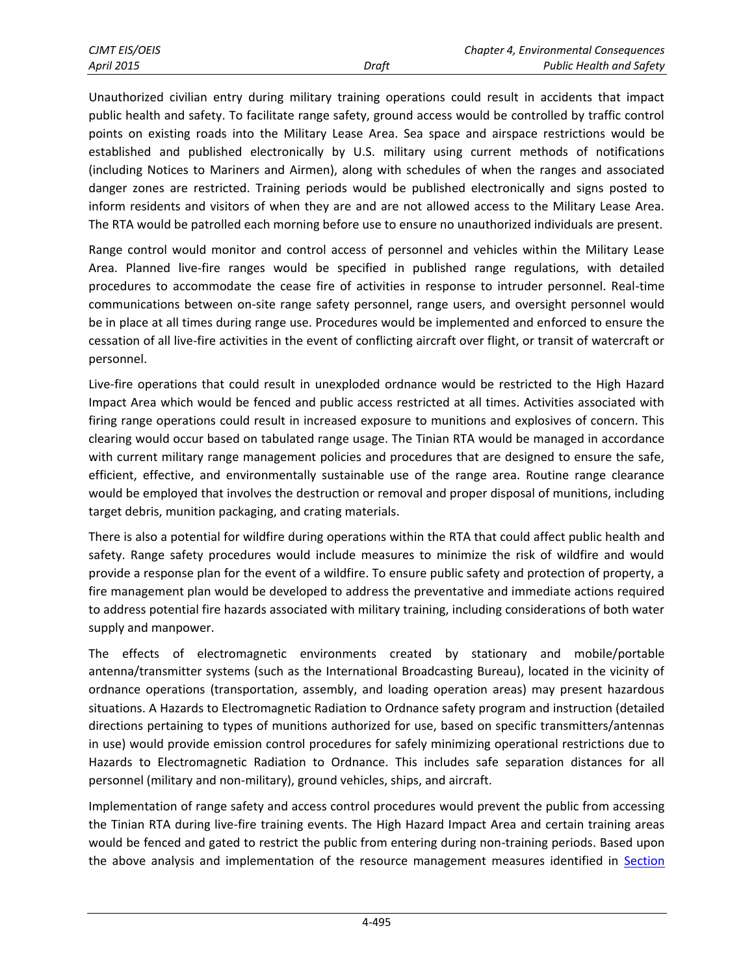| <b>CJMT EIS/OEIS</b> |       | Chapter 4, Environmental Consequences |
|----------------------|-------|---------------------------------------|
| April 2015           | Draft | <b>Public Health and Safety</b>       |

Unauthorized civilian entry during military training operations could result in accidents that impact public health and safety. To facilitate range safety, ground access would be controlled by traffic control points on existing roads into the Military Lease Area. Sea space and airspace restrictions would be established and published electronically by U.S. military using current methods of notifications (including Notices to Mariners and Airmen), along with schedules of when the ranges and associated danger zones are restricted. Training periods would be published electronically and signs posted to inform residents and visitors of when they are and are not allowed access to the Military Lease Area. The RTA would be patrolled each morning before use to ensure no unauthorized individuals are present.

Range control would monitor and control access of personnel and vehicles within the Military Lease Area. Planned live-fire ranges would be specified in published range regulations, with detailed procedures to accommodate the cease fire of activities in response to intruder personnel. Real-time communications between on-site range safety personnel, range users, and oversight personnel would be in place at all times during range use. Procedures would be implemented and enforced to ensure the cessation of all live-fire activities in the event of conflicting aircraft over flight, or transit of watercraft or personnel.

Live-fire operations that could result in unexploded ordnance would be restricted to the High Hazard Impact Area which would be fenced and public access restricted at all times. Activities associated with firing range operations could result in increased exposure to munitions and explosives of concern. This clearing would occur based on tabulated range usage. The Tinian RTA would be managed in accordance with current military range management policies and procedures that are designed to ensure the safe, efficient, effective, and environmentally sustainable use of the range area. Routine range clearance would be employed that involves the destruction or removal and proper disposal of munitions, including target debris, munition packaging, and crating materials.

There is also a potential for wildfire during operations within the RTA that could affect public health and safety. Range safety procedures would include measures to minimize the risk of wildfire and would provide a response plan for the event of a wildfire. To ensure public safety and protection of property, a fire management plan would be developed to address the preventative and immediate actions required to address potential fire hazards associated with military training, including considerations of both water supply and manpower.

The effects of electromagnetic environments created by stationary and mobile/portable antenna/transmitter systems (such as the International Broadcasting Bureau), located in the vicinity of ordnance operations (transportation, assembly, and loading operation areas) may present hazardous situations. A Hazards to Electromagnetic Radiation to Ordnance safety program and instruction (detailed directions pertaining to types of munitions authorized for use, based on specific transmitters/antennas in use) would provide emission control procedures for safely minimizing operational restrictions due to Hazards to Electromagnetic Radiation to Ordnance. This includes safe separation distances for all personnel (military and non-military), ground vehicles, ships, and aircraft.

Implementation of range safety and access control procedures would prevent the public from accessing the Tinian RTA during live-fire training events. The High Hazard Impact Area and certain training areas would be fenced and gated to restrict the public from entering during non-training periods. Based upon the above analysis and implementation of the resource management measures identified in [Section](#page-1-0)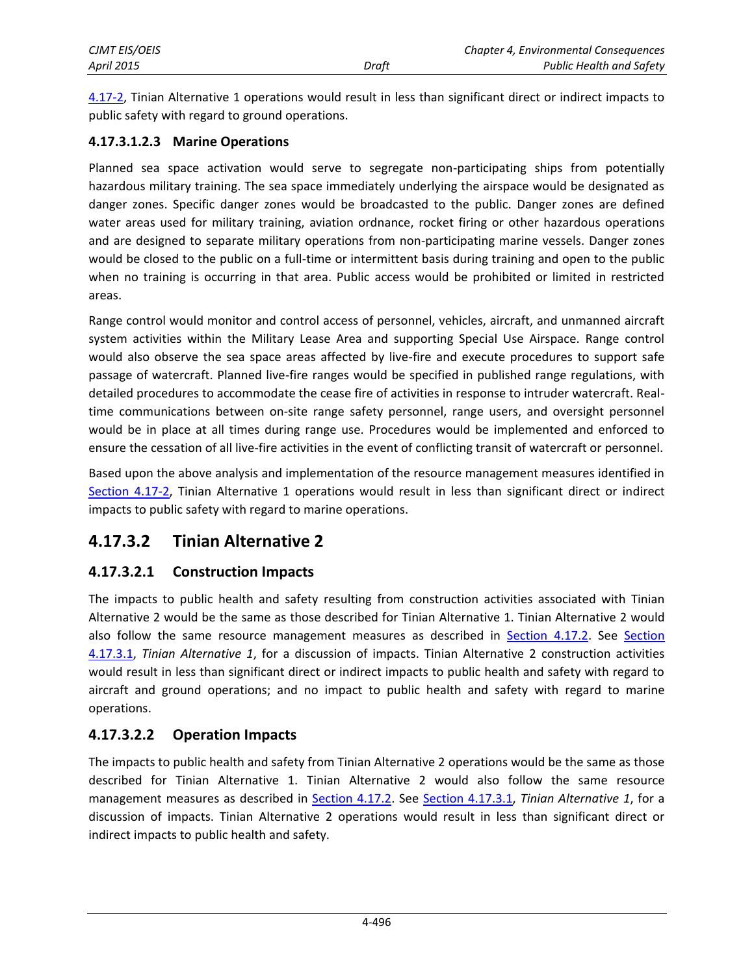[4.17-2,](#page-1-0) Tinian Alternative 1 operations would result in less than significant direct or indirect impacts to public safety with regard to ground operations.

#### **4.17.3.1.2.3 Marine Operations**

Planned sea space activation would serve to segregate non-participating ships from potentially hazardous military training. The sea space immediately underlying the airspace would be designated as danger zones. Specific danger zones would be broadcasted to the public. Danger zones are defined water areas used for military training, aviation ordnance, rocket firing or other hazardous operations and are designed to separate military operations from non-participating marine vessels. Danger zones would be closed to the public on a full-time or intermittent basis during training and open to the public when no training is occurring in that area. Public access would be prohibited or limited in restricted areas.

Range control would monitor and control access of personnel, vehicles, aircraft, and unmanned aircraft system activities within the Military Lease Area and supporting Special Use Airspace. Range control would also observe the sea space areas affected by live-fire and execute procedures to support safe passage of watercraft. Planned live-fire ranges would be specified in published range regulations, with detailed procedures to accommodate the cease fire of activities in response to intruder watercraft. Realtime communications between on-site range safety personnel, range users, and oversight personnel would be in place at all times during range use. Procedures would be implemented and enforced to ensure the cessation of all live-fire activities in the event of conflicting transit of watercraft or personnel.

Based upon the above analysis and implementation of the resource management measures identified in [Section 4.17-2,](#page-1-0) Tinian Alternative 1 operations would result in less than significant direct or indirect impacts to public safety with regard to marine operations.

### **4.17.3.2 Tinian Alternative 2**

### **4.17.3.2.1 Construction Impacts**

The impacts to public health and safety resulting from construction activities associated with Tinian Alternative 2 would be the same as those described for Tinian Alternative 1. Tinian Alternative 2 would also follow the same resource management measures as described in [Section 4.17.2.](#page-1-0) See [Section](#page-3-0)  [4.17.3.1,](#page-3-0) *Tinian Alternative 1*, for a discussion of impacts. Tinian Alternative 2 construction activities would result in less than significant direct or indirect impacts to public health and safety with regard to aircraft and ground operations; and no impact to public health and safety with regard to marine operations.

### **4.17.3.2.2 Operation Impacts**

The impacts to public health and safety from Tinian Alternative 2 operations would be the same as those described for Tinian Alternative 1. Tinian Alternative 2 would also follow the same resource management measures as described in [Section 4.17.2.](#page-1-0) See [Section 4.17.3.1,](#page-3-0) *Tinian Alternative 1*, for a discussion of impacts. Tinian Alternative 2 operations would result in less than significant direct or indirect impacts to public health and safety.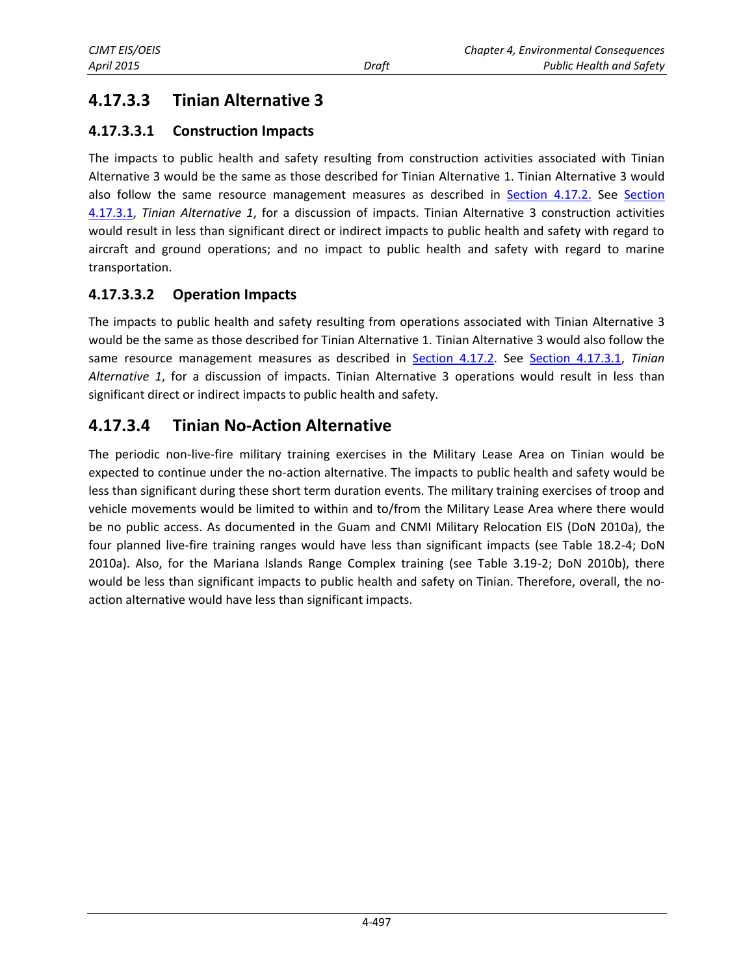# **4.17.3.3 Tinian Alternative 3**

### **4.17.3.3.1 Construction Impacts**

The impacts to public health and safety resulting from construction activities associated with Tinian Alternative 3 would be the same as those described for Tinian Alternative 1. Tinian Alternative 3 would also follow the same resource management measures as described in [Section 4.17.2.](#page-1-0) See [Section](#page-3-0)  [4.17.3.1,](#page-3-0) *Tinian Alternative 1*, for a discussion of impacts. Tinian Alternative 3 construction activities would result in less than significant direct or indirect impacts to public health and safety with regard to aircraft and ground operations; and no impact to public health and safety with regard to marine transportation.

### **4.17.3.3.2 Operation Impacts**

The impacts to public health and safety resulting from operations associated with Tinian Alternative 3 would be the same as those described for Tinian Alternative 1. Tinian Alternative 3 would also follow the same resource management measures as described in [Section 4.17.2.](#page-1-0) See [Section 4.17.3.1](#page-3-0), *Tinian Alternative 1*, for a discussion of impacts. Tinian Alternative 3 operations would result in less than significant direct or indirect impacts to public health and safety.

### **4.17.3.4 Tinian No-Action Alternative**

The periodic non-live-fire military training exercises in the Military Lease Area on Tinian would be expected to continue under the no-action alternative. The impacts to public health and safety would be less than significant during these short term duration events. The military training exercises of troop and vehicle movements would be limited to within and to/from the Military Lease Area where there would be no public access. As documented in the Guam and CNMI Military Relocation EIS (DoN 2010a), the four planned live-fire training ranges would have less than significant impacts (see Table 18.2-4; DoN 2010a). Also, for the Mariana Islands Range Complex training (see Table 3.19-2; DoN 2010b), there would be less than significant impacts to public health and safety on Tinian. Therefore, overall, the noaction alternative would have less than significant impacts.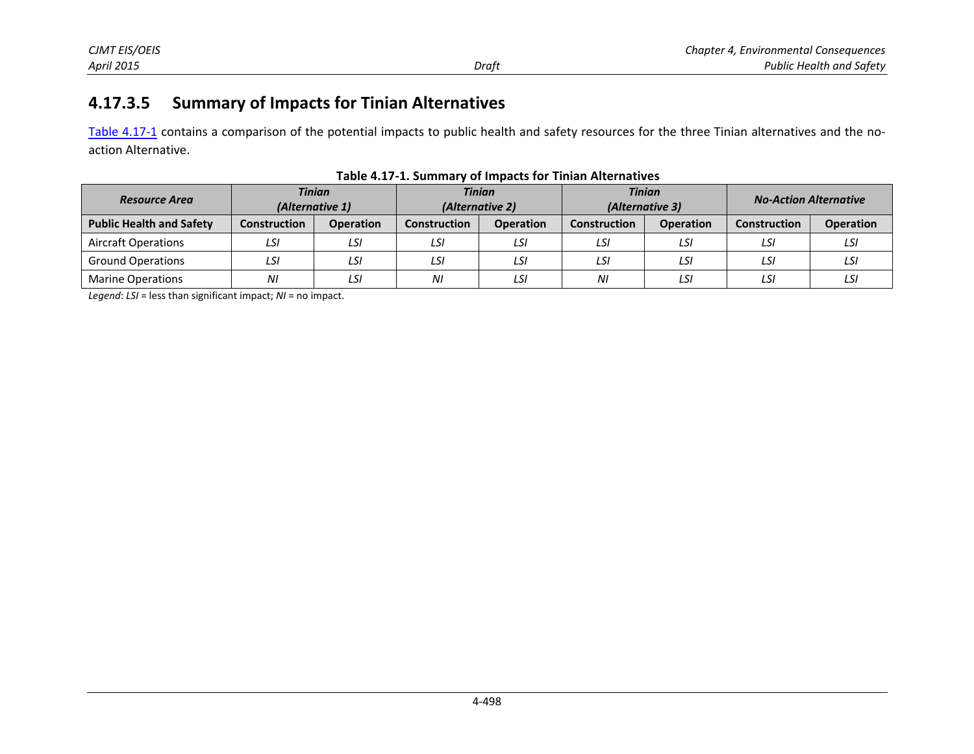### **4.17.3.5 Summary of Impacts for Tinian Alternatives**

[Table 4.17-1](#page-9-0) contains a comparison of the potential impacts to public health and safety resources for the three Tinian alternatives and the noaction Alternative.

| <b>Resource Area</b>            | <b>Tinian</b><br>(Alternative 1) |                  |                     | <b>Tinian</b><br>(Alternative 2) |                     | <b>Tinian</b><br>(Alternative 3) |                     | <b>No-Action Alternative</b> |  |
|---------------------------------|----------------------------------|------------------|---------------------|----------------------------------|---------------------|----------------------------------|---------------------|------------------------------|--|
| <b>Public Health and Safety</b> | <b>Construction</b>              | <b>Operation</b> | <b>Construction</b> | <b>Operation</b>                 | <b>Construction</b> | <b>Operation</b>                 | <b>Construction</b> | <b>Operation</b>             |  |
| <b>Aircraft Operations</b>      | LSI                              | LSI              | LSI                 | LSI                              | LSI                 | LSI                              | LSI                 | LSI                          |  |
| <b>Ground Operations</b>        | LSI                              | LSI              | LSI                 | LSI                              | LSI                 | LSI                              | LSI                 | LSI                          |  |
| <b>Marine Operations</b>        | ΝI                               | LSI              | ΝI                  | LSI                              | NI                  | LSI                              | LSI                 | LSI                          |  |

<span id="page-9-0"></span>**Table 4.17-1. Summary of Impacts for Tinian Alternatives** 

*Legend*: *LSI* = less than significant impact; *NI* = no impact.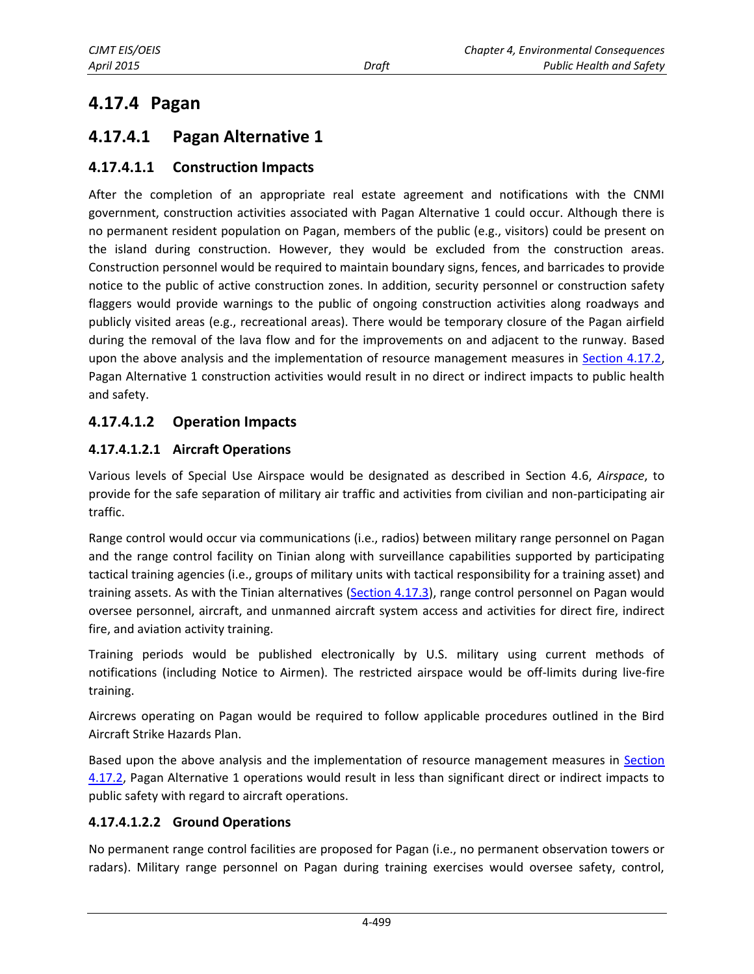# **4.17.4 Pagan**

### <span id="page-10-0"></span>**4.17.4.1 Pagan Alternative 1**

### **4.17.4.1.1 Construction Impacts**

After the completion of an appropriate real estate agreement and notifications with the CNMI government, construction activities associated with Pagan Alternative 1 could occur. Although there is no permanent resident population on Pagan, members of the public (e.g., visitors) could be present on the island during construction. However, they would be excluded from the construction areas. Construction personnel would be required to maintain boundary signs, fences, and barricades to provide notice to the public of active construction zones. In addition, security personnel or construction safety flaggers would provide warnings to the public of ongoing construction activities along roadways and publicly visited areas (e.g., recreational areas). There would be temporary closure of the Pagan airfield during the removal of the lava flow and for the improvements on and adjacent to the runway. Based upon the above analysis and the implementation of resource management measures in [Section 4.17.2,](#page-1-0) Pagan Alternative 1 construction activities would result in no direct or indirect impacts to public health and safety.

### **4.17.4.1.2 Operation Impacts**

#### **4.17.4.1.2.1 Aircraft Operations**

Various levels of Special Use Airspace would be designated as described in Section 4.6, *Airspace*, to provide for the safe separation of military air traffic and activities from civilian and non-participating air traffic.

Range control would occur via communications (i.e., radios) between military range personnel on Pagan and the range control facility on Tinian along with surveillance capabilities supported by participating tactical training agencies (i.e., groups of military units with tactical responsibility for a training asset) and training assets. As with the Tinian alternatives [\(Section 4.17.3\)](#page-3-1), range control personnel on Pagan would oversee personnel, aircraft, and unmanned aircraft system access and activities for direct fire, indirect fire, and aviation activity training.

Training periods would be published electronically by U.S. military using current methods of notifications (including Notice to Airmen). The restricted airspace would be off-limits during live-fire training.

Aircrews operating on Pagan would be required to follow applicable procedures outlined in the Bird Aircraft Strike Hazards Plan.

Based upon the above analysis and the implementation of resource management measures in [Section](#page-1-0)  [4.17.2,](#page-1-0) Pagan Alternative 1 operations would result in less than significant direct or indirect impacts to public safety with regard to aircraft operations.

#### **4.17.4.1.2.2 Ground Operations**

No permanent range control facilities are proposed for Pagan (i.e., no permanent observation towers or radars). Military range personnel on Pagan during training exercises would oversee safety, control,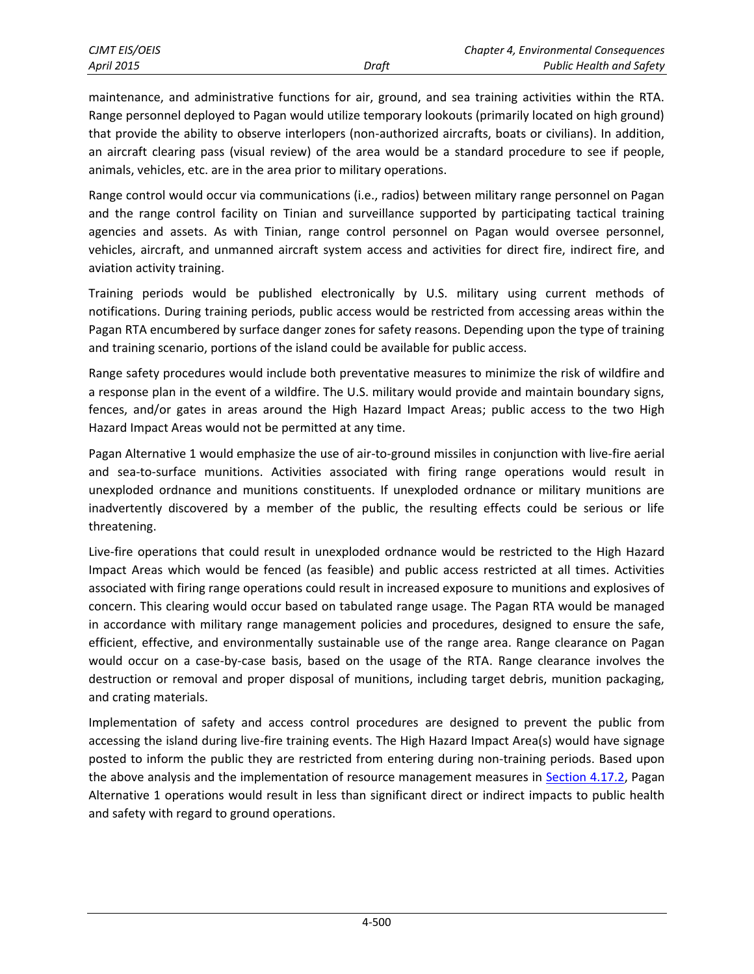maintenance, and administrative functions for air, ground, and sea training activities within the RTA. Range personnel deployed to Pagan would utilize temporary lookouts (primarily located on high ground) that provide the ability to observe interlopers (non-authorized aircrafts, boats or civilians). In addition, an aircraft clearing pass (visual review) of the area would be a standard procedure to see if people, animals, vehicles, etc. are in the area prior to military operations.

Range control would occur via communications (i.e., radios) between military range personnel on Pagan and the range control facility on Tinian and surveillance supported by participating tactical training agencies and assets. As with Tinian, range control personnel on Pagan would oversee personnel, vehicles, aircraft, and unmanned aircraft system access and activities for direct fire, indirect fire, and aviation activity training.

Training periods would be published electronically by U.S. military using current methods of notifications. During training periods, public access would be restricted from accessing areas within the Pagan RTA encumbered by surface danger zones for safety reasons. Depending upon the type of training and training scenario, portions of the island could be available for public access.

Range safety procedures would include both preventative measures to minimize the risk of wildfire and a response plan in the event of a wildfire. The U.S. military would provide and maintain boundary signs, fences, and/or gates in areas around the High Hazard Impact Areas; public access to the two High Hazard Impact Areas would not be permitted at any time.

Pagan Alternative 1 would emphasize the use of air-to-ground missiles in conjunction with live-fire aerial and sea-to-surface munitions. Activities associated with firing range operations would result in unexploded ordnance and munitions constituents. If unexploded ordnance or military munitions are inadvertently discovered by a member of the public, the resulting effects could be serious or life threatening.

Live-fire operations that could result in unexploded ordnance would be restricted to the High Hazard Impact Areas which would be fenced (as feasible) and public access restricted at all times. Activities associated with firing range operations could result in increased exposure to munitions and explosives of concern. This clearing would occur based on tabulated range usage. The Pagan RTA would be managed in accordance with military range management policies and procedures, designed to ensure the safe, efficient, effective, and environmentally sustainable use of the range area. Range clearance on Pagan would occur on a case-by-case basis, based on the usage of the RTA. Range clearance involves the destruction or removal and proper disposal of munitions, including target debris, munition packaging, and crating materials.

Implementation of safety and access control procedures are designed to prevent the public from accessing the island during live-fire training events. The High Hazard Impact Area(s) would have signage posted to inform the public they are restricted from entering during non-training periods. Based upon the above analysis and the implementation of resource management measures in [Section 4.17.2,](#page-1-0) Pagan Alternative 1 operations would result in less than significant direct or indirect impacts to public health and safety with regard to ground operations.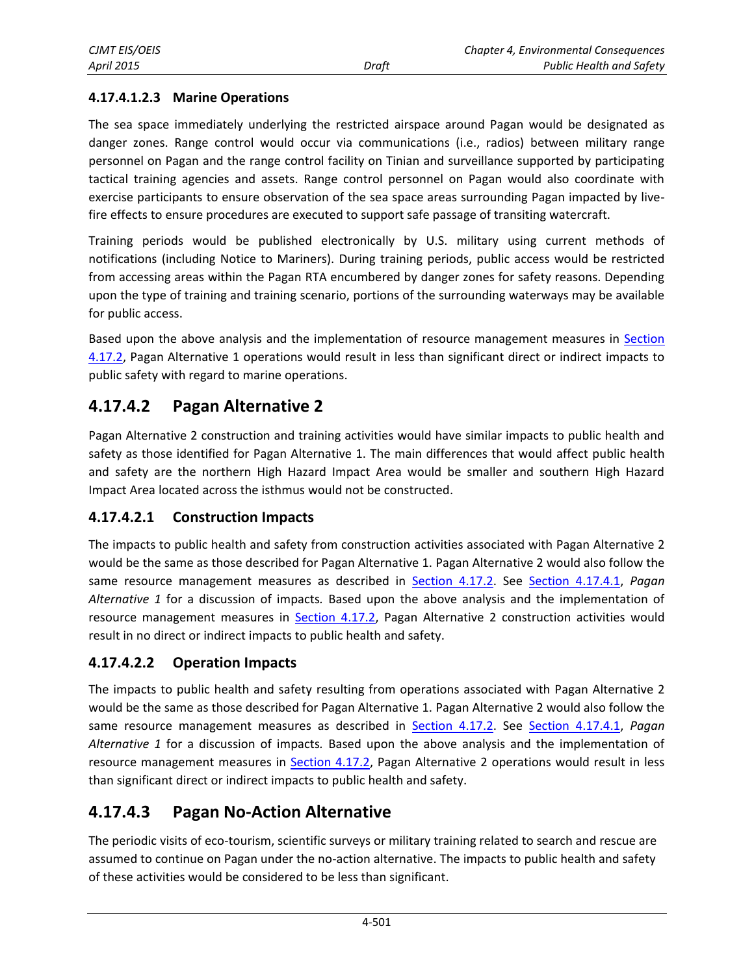### **4.17.4.1.2.3 Marine Operations**

The sea space immediately underlying the restricted airspace around Pagan would be designated as danger zones. Range control would occur via communications (i.e., radios) between military range personnel on Pagan and the range control facility on Tinian and surveillance supported by participating tactical training agencies and assets. Range control personnel on Pagan would also coordinate with exercise participants to ensure observation of the sea space areas surrounding Pagan impacted by livefire effects to ensure procedures are executed to support safe passage of transiting watercraft.

Training periods would be published electronically by U.S. military using current methods of notifications (including Notice to Mariners). During training periods, public access would be restricted from accessing areas within the Pagan RTA encumbered by danger zones for safety reasons. Depending upon the type of training and training scenario, portions of the surrounding waterways may be available for public access.

Based upon the above analysis and the implementation of resource management measures in [Section](#page-1-0)  [4.17.2,](#page-1-0) Pagan Alternative 1 operations would result in less than significant direct or indirect impacts to public safety with regard to marine operations.

### **4.17.4.2 Pagan Alternative 2**

Pagan Alternative 2 construction and training activities would have similar impacts to public health and safety as those identified for Pagan Alternative 1. The main differences that would affect public health and safety are the northern High Hazard Impact Area would be smaller and southern High Hazard Impact Area located across the isthmus would not be constructed.

### **4.17.4.2.1 Construction Impacts**

The impacts to public health and safety from construction activities associated with Pagan Alternative 2 would be the same as those described for Pagan Alternative 1. Pagan Alternative 2 would also follow the same resource management measures as described in [Section 4.17.2.](#page-1-0) See [Section 4.17.4.1,](#page-10-0) *Pagan Alternative 1* for a discussion of impacts*.* Based upon the above analysis and the implementation of resource management measures in [Section 4.17.2,](#page-1-0) Pagan Alternative 2 construction activities would result in no direct or indirect impacts to public health and safety.

### **4.17.4.2.2 Operation Impacts**

The impacts to public health and safety resulting from operations associated with Pagan Alternative 2 would be the same as those described for Pagan Alternative 1. Pagan Alternative 2 would also follow the same resource management measures as described in [Section 4.17.2.](#page-1-0) See [Section 4.17.4.1,](#page-10-0) *Pagan Alternative 1* for a discussion of impacts*.* Based upon the above analysis and the implementation of resource management measures in [Section 4.17.2,](#page-1-0) Pagan Alternative 2 operations would result in less than significant direct or indirect impacts to public health and safety.

# **4.17.4.3 Pagan No-Action Alternative**

The periodic visits of eco-tourism, scientific surveys or military training related to search and rescue are assumed to continue on Pagan under the no-action alternative. The impacts to public health and safety of these activities would be considered to be less than significant.